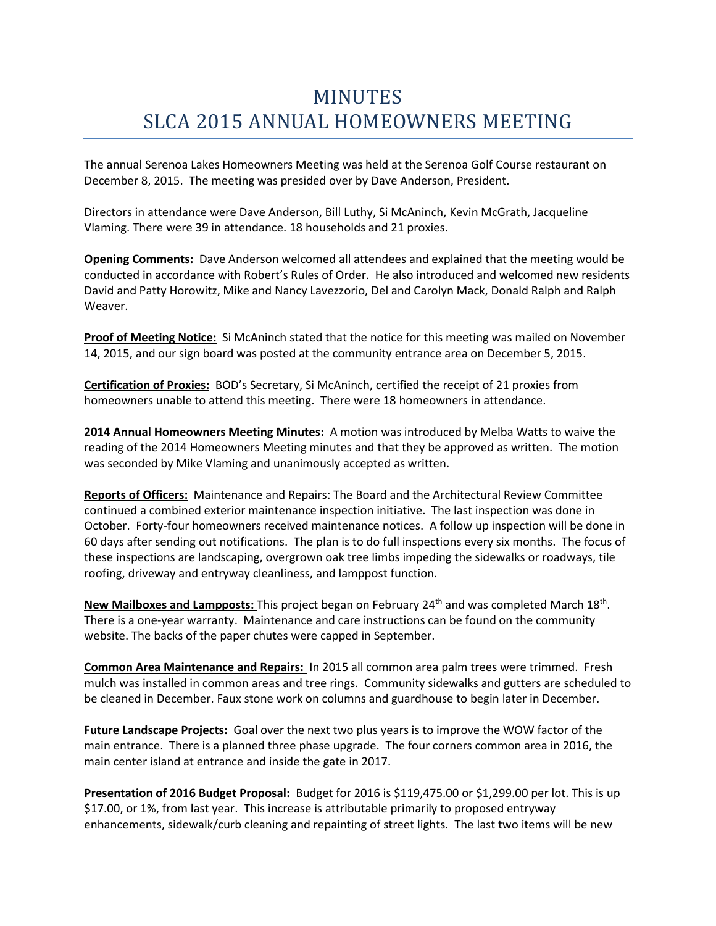## MINUTES SLCA 2015 ANNUAL HOMEOWNERS MEETING

The annual Serenoa Lakes Homeowners Meeting was held at the Serenoa Golf Course restaurant on December 8, 2015. The meeting was presided over by Dave Anderson, President.

Directors in attendance were Dave Anderson, Bill Luthy, Si McAninch, Kevin McGrath, Jacqueline Vlaming. There were 39 in attendance. 18 households and 21 proxies.

**Opening Comments:** Dave Anderson welcomed all attendees and explained that the meeting would be conducted in accordance with Robert's Rules of Order. He also introduced and welcomed new residents David and Patty Horowitz, Mike and Nancy Lavezzorio, Del and Carolyn Mack, Donald Ralph and Ralph Weaver.

**Proof of Meeting Notice:** Si McAninch stated that the notice for this meeting was mailed on November 14, 2015, and our sign board was posted at the community entrance area on December 5, 2015.

**Certification of Proxies:** BOD's Secretary, Si McAninch, certified the receipt of 21 proxies from homeowners unable to attend this meeting. There were 18 homeowners in attendance.

**2014 Annual Homeowners Meeting Minutes:** A motion was introduced by Melba Watts to waive the reading of the 2014 Homeowners Meeting minutes and that they be approved as written. The motion was seconded by Mike Vlaming and unanimously accepted as written.

**Reports of Officers:** Maintenance and Repairs: The Board and the Architectural Review Committee continued a combined exterior maintenance inspection initiative. The last inspection was done in October. Forty-four homeowners received maintenance notices. A follow up inspection will be done in 60 days after sending out notifications. The plan is to do full inspections every six months. The focus of these inspections are landscaping, overgrown oak tree limbs impeding the sidewalks or roadways, tile roofing, driveway and entryway cleanliness, and lamppost function.

New Mailboxes and Lampposts: This project began on February 24<sup>th</sup> and was completed March 18<sup>th</sup>. There is a one-year warranty. Maintenance and care instructions can be found on the community website. The backs of the paper chutes were capped in September.

**Common Area Maintenance and Repairs:** In 2015 all common area palm trees were trimmed. Fresh mulch was installed in common areas and tree rings. Community sidewalks and gutters are scheduled to be cleaned in December. Faux stone work on columns and guardhouse to begin later in December.

**Future Landscape Projects:** Goal over the next two plus years is to improve the WOW factor of the main entrance. There is a planned three phase upgrade. The four corners common area in 2016, the main center island at entrance and inside the gate in 2017.

**Presentation of 2016 Budget Proposal:** Budget for 2016 is \$119,475.00 or \$1,299.00 per lot. This is up \$17.00, or 1%, from last year. This increase is attributable primarily to proposed entryway enhancements, sidewalk/curb cleaning and repainting of street lights. The last two items will be new